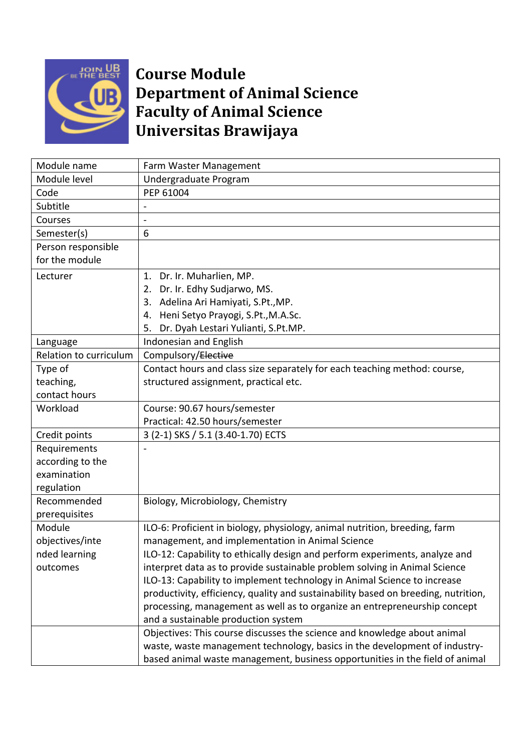

## **Course Module Department of Animal Science Faculty of Animal Science Universitas Brawijaya**

| Module name            | Farm Waster Management                                                             |  |  |  |
|------------------------|------------------------------------------------------------------------------------|--|--|--|
| Module level           | Undergraduate Program                                                              |  |  |  |
| Code                   | PEP 61004                                                                          |  |  |  |
| Subtitle               |                                                                                    |  |  |  |
| Courses                |                                                                                    |  |  |  |
| Semester(s)            | 6                                                                                  |  |  |  |
| Person responsible     |                                                                                    |  |  |  |
| for the module         |                                                                                    |  |  |  |
| Lecturer               | Dr. Ir. Muharlien, MP.<br>1.                                                       |  |  |  |
|                        | Dr. Ir. Edhy Sudjarwo, MS.<br>2.                                                   |  |  |  |
|                        | 3. Adelina Ari Hamiyati, S.Pt., MP.                                                |  |  |  |
|                        | Heni Setyo Prayogi, S.Pt., M.A.Sc.<br>4.                                           |  |  |  |
|                        | Dr. Dyah Lestari Yulianti, S.Pt.MP.<br>5.                                          |  |  |  |
| Language               | Indonesian and English                                                             |  |  |  |
| Relation to curriculum | Compulsory/Elective                                                                |  |  |  |
| Type of                | Contact hours and class size separately for each teaching method: course,          |  |  |  |
| teaching,              | structured assignment, practical etc.                                              |  |  |  |
| contact hours          |                                                                                    |  |  |  |
| Workload               | Course: 90.67 hours/semester                                                       |  |  |  |
|                        | Practical: 42.50 hours/semester                                                    |  |  |  |
| Credit points          | 3 (2-1) SKS / 5.1 (3.40-1.70) ECTS                                                 |  |  |  |
| Requirements           |                                                                                    |  |  |  |
| according to the       |                                                                                    |  |  |  |
| examination            |                                                                                    |  |  |  |
| regulation             |                                                                                    |  |  |  |
| Recommended            | Biology, Microbiology, Chemistry                                                   |  |  |  |
| prerequisites          |                                                                                    |  |  |  |
| Module                 | ILO-6: Proficient in biology, physiology, animal nutrition, breeding, farm         |  |  |  |
| objectives/inte        | management, and implementation in Animal Science                                   |  |  |  |
| nded learning          | ILO-12: Capability to ethically design and perform experiments, analyze and        |  |  |  |
| outcomes               | interpret data as to provide sustainable problem solving in Animal Science         |  |  |  |
|                        | ILO-13: Capability to implement technology in Animal Science to increase           |  |  |  |
|                        | productivity, efficiency, quality and sustainability based on breeding, nutrition, |  |  |  |
|                        | processing, management as well as to organize an entrepreneurship concept          |  |  |  |
|                        | and a sustainable production system                                                |  |  |  |
|                        | Objectives: This course discusses the science and knowledge about animal           |  |  |  |
|                        | waste, waste management technology, basics in the development of industry-         |  |  |  |
|                        | based animal waste management, business opportunities in the field of animal       |  |  |  |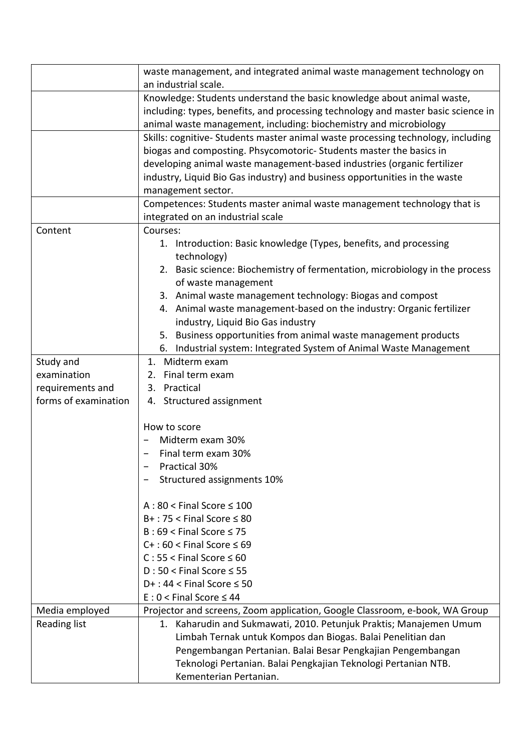|                      | waste management, and integrated animal waste management technology on<br>an industrial scale.                                                                                                                                                    |  |  |  |
|----------------------|---------------------------------------------------------------------------------------------------------------------------------------------------------------------------------------------------------------------------------------------------|--|--|--|
|                      | Knowledge: Students understand the basic knowledge about animal waste,                                                                                                                                                                            |  |  |  |
|                      | including: types, benefits, and processing technology and master basic science in<br>animal waste management, including: biochemistry and microbiology                                                                                            |  |  |  |
|                      |                                                                                                                                                                                                                                                   |  |  |  |
|                      | Skills: cognitive- Students master animal waste processing technology, including                                                                                                                                                                  |  |  |  |
|                      | biogas and composting. Phsycomotoric-Students master the basics in<br>developing animal waste management-based industries (organic fertilizer<br>industry, Liquid Bio Gas industry) and business opportunities in the waste<br>management sector. |  |  |  |
|                      |                                                                                                                                                                                                                                                   |  |  |  |
|                      |                                                                                                                                                                                                                                                   |  |  |  |
|                      |                                                                                                                                                                                                                                                   |  |  |  |
|                      | Competences: Students master animal waste management technology that is                                                                                                                                                                           |  |  |  |
|                      | integrated on an industrial scale                                                                                                                                                                                                                 |  |  |  |
| Content              | Courses:                                                                                                                                                                                                                                          |  |  |  |
|                      | 1. Introduction: Basic knowledge (Types, benefits, and processing                                                                                                                                                                                 |  |  |  |
|                      | technology)                                                                                                                                                                                                                                       |  |  |  |
|                      | 2. Basic science: Biochemistry of fermentation, microbiology in the process                                                                                                                                                                       |  |  |  |
|                      | of waste management                                                                                                                                                                                                                               |  |  |  |
|                      | 3. Animal waste management technology: Biogas and compost                                                                                                                                                                                         |  |  |  |
|                      | 4. Animal waste management-based on the industry: Organic fertilizer                                                                                                                                                                              |  |  |  |
|                      | industry, Liquid Bio Gas industry                                                                                                                                                                                                                 |  |  |  |
|                      | 5. Business opportunities from animal waste management products                                                                                                                                                                                   |  |  |  |
|                      | 6. Industrial system: Integrated System of Animal Waste Management                                                                                                                                                                                |  |  |  |
| Study and            | 1. Midterm exam                                                                                                                                                                                                                                   |  |  |  |
| examination          | 2. Final term exam                                                                                                                                                                                                                                |  |  |  |
| requirements and     | 3. Practical                                                                                                                                                                                                                                      |  |  |  |
| forms of examination | 4. Structured assignment                                                                                                                                                                                                                          |  |  |  |
|                      | How to score                                                                                                                                                                                                                                      |  |  |  |
|                      | Midterm exam 30%                                                                                                                                                                                                                                  |  |  |  |
|                      | Final term exam 30%                                                                                                                                                                                                                               |  |  |  |
|                      | Practical 30%                                                                                                                                                                                                                                     |  |  |  |
|                      | Structured assignments 10%                                                                                                                                                                                                                        |  |  |  |
|                      | $A:80 <$ Final Score $\leq 100$                                                                                                                                                                                                                   |  |  |  |
|                      | $B+$ : 75 < Final Score $\leq 80$                                                                                                                                                                                                                 |  |  |  |
|                      | $B:69 <$ Final Score $\leq 75$                                                                                                                                                                                                                    |  |  |  |
|                      | $C+$ : 60 < Final Score $\leq 69$                                                                                                                                                                                                                 |  |  |  |
|                      | $C: 55 <$ Final Score $\leq 60$                                                                                                                                                                                                                   |  |  |  |
|                      | $D:50 <$ Final Score $\leq 55$                                                                                                                                                                                                                    |  |  |  |
|                      | $D+$ : 44 < Final Score $\leq$ 50                                                                                                                                                                                                                 |  |  |  |
|                      | $E: 0 <$ Final Score $\leq 44$                                                                                                                                                                                                                    |  |  |  |
| Media employed       | Projector and screens, Zoom application, Google Classroom, e-book, WA Group                                                                                                                                                                       |  |  |  |
| <b>Reading list</b>  | 1. Kaharudin and Sukmawati, 2010. Petunjuk Praktis; Manajemen Umum                                                                                                                                                                                |  |  |  |
|                      | Limbah Ternak untuk Kompos dan Biogas. Balai Penelitian dan                                                                                                                                                                                       |  |  |  |
|                      | Pengembangan Pertanian. Balai Besar Pengkajian Pengembangan                                                                                                                                                                                       |  |  |  |
|                      | Teknologi Pertanian. Balai Pengkajian Teknologi Pertanian NTB.                                                                                                                                                                                    |  |  |  |
|                      | Kementerian Pertanian.                                                                                                                                                                                                                            |  |  |  |